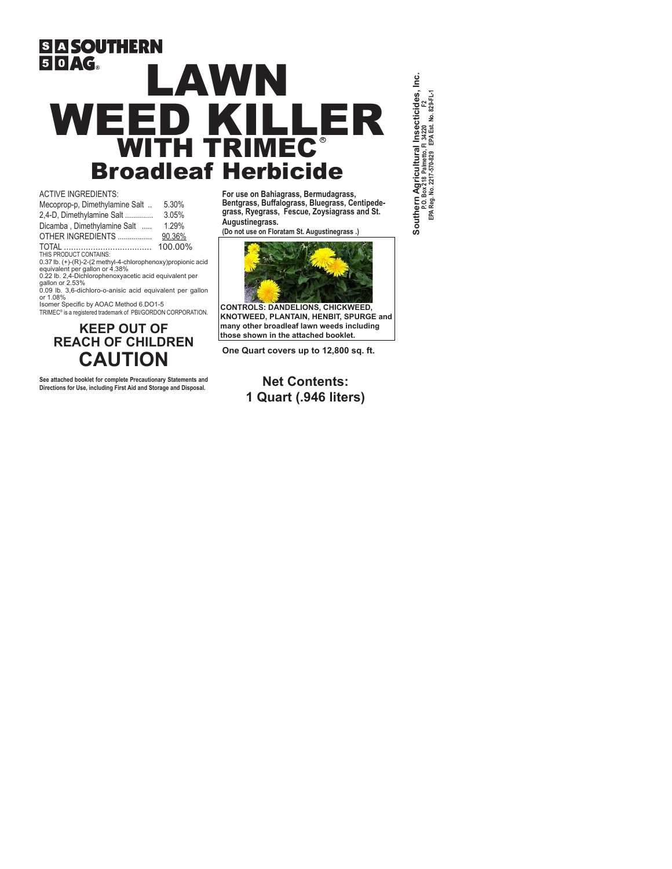# **SIA SOUTHERN**  $50 \text{AG}$ LAWN **R** WEED KILLER WITH TRIMEC Broadleaf Herbicide

ACTIVE INGREDIENTS:

| 5.30%                                                                                         |  |  |  |  |  |
|-----------------------------------------------------------------------------------------------|--|--|--|--|--|
| 3.05%                                                                                         |  |  |  |  |  |
| 1.29%                                                                                         |  |  |  |  |  |
| 90.36%                                                                                        |  |  |  |  |  |
| 100.00%                                                                                       |  |  |  |  |  |
|                                                                                               |  |  |  |  |  |
| 0.37 lb. (+)-(R)-2-(2 methyl-4-chlorophenoxy)propionic acid<br>equivalent per gallon or 4.38% |  |  |  |  |  |
|                                                                                               |  |  |  |  |  |
| 0.22 lb. 2,4-Dichlorophenoxyacetic acid equivalent per                                        |  |  |  |  |  |
|                                                                                               |  |  |  |  |  |

gallon or 2.53% 0.09 lb. 3,6-dichloro-o-anisic acid equivalent per gallon or 1.08% Isomer Specific by AOAC Method 6.DO1-5

TRIMEC® is a registered trademark of PBI/GORDON CORPORATION.

## **KEEP OUT OF REACH OF CHILDREN CAUTION**

**See attached booklet for complete Precautionary Statements and Directions for Use, including First Aid and Storage and Disposal.**

**For use on Bahiagrass, Bermudagrass, Bentgrass, Buffalograss, Bluegrass, Centipedegrass, Ryegrass, Fescue, Zoysiagrass and St. Augustinegrass.** 

**(Do not use on Floratam St. Augustinegrass .)**



**CONTROLS: DANDELIONS, CHICKWEED, KNOTWEED, PLANTAIN, HENBIT, SPURGE and many other broadleaf lawn weeds including those shown in the attached booklet.**

**One Quart covers up to 12,800 sq. ft.**

**Net Contents: 1 Quart (.946 liters)** Southern Agricultural Insecticides, Inc.<br>P.O. Box 218 Palmetto, Fl 34200 F2<br>EPA Reg. No. 2217-570-829 EPA Est. No. 829-FL-1  **Southern Agricultural Insecticides, Inc. EPA Reg. No. 2217-570-829 EPA Est. No. 829-FL-1 P.O. Box 218 Palmetto, Fl 34220 F2**